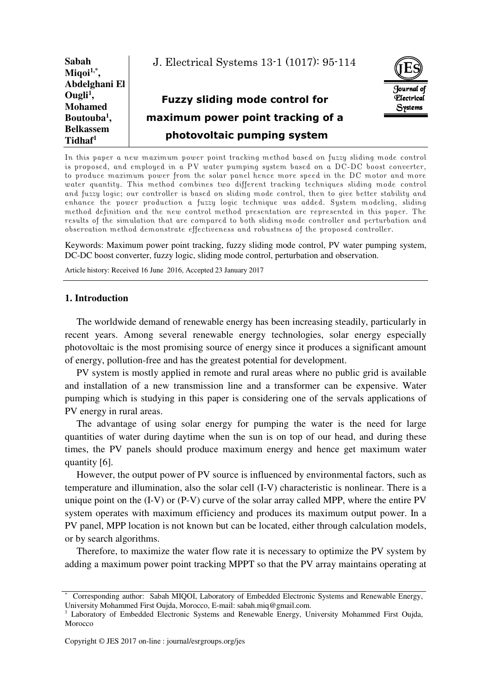| Sabah<br>Miqoi $1,$ <sup>*</sup> , | J. Electrical Systems 13-1 (1017): 95-114 |                          |
|------------------------------------|-------------------------------------------|--------------------------|
| Abdelghani El                      |                                           | Journal of               |
| Ougli <sup>1</sup> ,               | <b>Fuzzy sliding mode control for</b>     | <i><b>Flectrical</b></i> |
| <b>Mohamed</b>                     |                                           | Systems                  |
| Boutouba <sup>1</sup> ,            | maximum power point tracking of a         |                          |
| <b>Belkassem</b>                   |                                           |                          |
| Tidhaf <sup>1</sup>                | photovoltaic pumping system               |                          |

In this paper a new maximum power point tracking method based on fuzzy sliding mode control is proposed, and employed in a PV water pumping system based on a DC-DC boost converter, to produce maximum power from the solar panel hence more speed in the DC motor and more water quantity. This method combines two different tracking techniques sliding mode control and fuzzy logic; our controller is based on sliding mode control, then to give better stability and enhance the power production a fuzzy logic technique was added. System modeling, sliding method definition and the new control method presentation are represented in this paper. The results of the simulation that are compared to both sliding mode controller and perturbation and observation method demonstrate effectiveness and robustness of the proposed controller.

Keywords: Maximum power point tracking, fuzzy sliding mode control, PV water pumping system, DC-DC boost converter, fuzzy logic, sliding mode control, perturbation and observation.

Article history: Received 16 June 2016, Accepted 23 January 2017

## **1. Introduction**

The worldwide demand of renewable energy has been increasing steadily, particularly in recent years. Among several renewable energy technologies, solar energy especially photovoltaic is the most promising source of energy since it produces a significant amount of energy, pollution-free and has the greatest potential for development.

PV system is mostly applied in remote and rural areas where no public grid is available and installation of a new transmission line and a transformer can be expensive. Water pumping which is studying in this paper is considering one of the servals applications of PV energy in rural areas.

The advantage of using solar energy for pumping the water is the need for large quantities of water during daytime when the sun is on top of our head, and during these times, the PV panels should produce maximum energy and hence get maximum water quantity [6].

However, the output power of PV source is influenced by environmental factors, such as temperature and illumination, also the solar cell (I-V) characteristic is nonlinear. There is a unique point on the (I-V) or (P-V) curve of the solar array called MPP, where the entire PV system operates with maximum efficiency and produces its maximum output power. In a PV panel, MPP location is not known but can be located, either through calculation models, or by search algorithms.

Therefore, to maximize the water flow rate it is necessary to optimize the PV system by adding a maximum power point tracking MPPT so that the PV array maintains operating at

<sup>\*</sup> Corresponding author: Sabah MIQOI, Laboratory of Embedded Electronic Systems and Renewable Energy, University Mohammed First Oujda, Morocco, E-mail: sabah.miq@gmail.com.

<sup>&</sup>lt;sup>1</sup> Laboratory of Embedded Electronic Systems and Renewable Energy, University Mohammed First Oujda, Morocco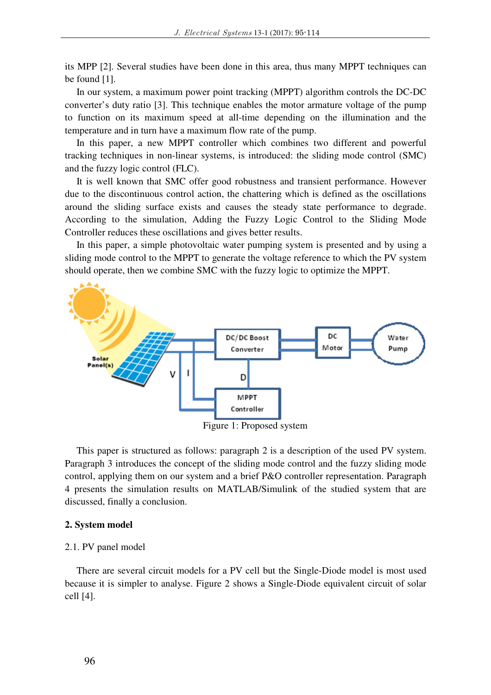its MPP [2]. Several studies have been done in this area, thus many MPPT techniques can be found [1].

In our system, a maximum power point tracking (MPPT) algorithm controls the DC-DC converter's duty ratio [3]. This technique enables the motor armature voltage of the pump to function on its maximum speed at all-time depending on the illumination and the temperature and in turn have a maximum flow rate of the pump.

In this paper, a new MPPT controller which combines two different and powerful tracking techniques in non-linear systems, is introduced: the sliding mode control (SMC) and the fuzzy logic control (FLC).

It is well known that SMC offer good robustness and transient performance. However due to the discontinuous control action, the chattering which is defined as the oscillations around the sliding surface exists and causes the steady state performance to degrade. According to the simulation, Adding the Fuzzy Logic Control to the Sliding Mode Controller reduces these oscillations and gives better results.

In this paper, a simple photovoltaic water pumping system is presented and by using a sliding mode control to the MPPT to generate the voltage reference to which the PV system should operate, then we combine SMC with the fuzzy logic to optimize the MPPT.



This paper is structured as follows: paragraph 2 is a description of the used PV system. Paragraph 3 introduces the concept of the sliding mode control and the fuzzy sliding mode control, applying them on our system and a brief P&O controller representation. Paragraph 4 presents the simulation results on MATLAB/Simulink of the studied system that are discussed, finally a conclusion.

#### **2. System model**

# 2.1. PV panel model

There are several circuit models for a PV cell but the Single-Diode model is most used because it is simpler to analyse. Figure 2 shows a Single-Diode equivalent circuit of solar cell [4].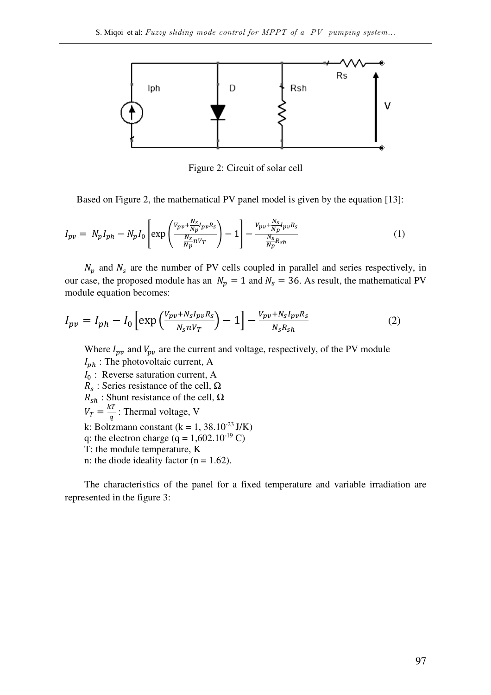

Figure 2: Circuit of solar cell

Based on Figure 2, the mathematical PV panel model is given by the equation [13]:

$$
I_{pv} = N_p I_{ph} - N_p I_0 \left[ \exp\left(\frac{v_{pv} + \frac{N_S}{N_p} I_{pv} R_S}{\frac{N_S}{N_p} N V_T}\right) - 1 \right] - \frac{v_{pv} + \frac{N_S}{N_p} I_{pv} R_S}{\frac{N_S}{N_p} R_{sh}} \tag{1}
$$

 $N_p$  and  $N_s$  are the number of PV cells coupled in parallel and series respectively, in our case, the proposed module has an  $N_p = 1$  and  $N_s = 36$ . As result, the mathematical PV module equation becomes:

$$
I_{pv} = I_{ph} - I_0 \left[ \exp\left(\frac{V_{pv} + N_S I_{pv} R_S}{N_S n V_T}\right) - 1 \right] - \frac{V_{pv} + N_S I_{pv} R_S}{N_S R_{sh}}
$$
(2)

Where  $I_{pv}$  and  $V_{pv}$  are the current and voltage, respectively, of the PV module  $I_{ph}$ : The photovoltaic current, A  $I_0$ : Reverse saturation current, A  $R_s$ : Series resistance of the cell,  $\Omega$  $R_{sh}$ : Shunt resistance of the cell,  $\Omega$  $V_T = \frac{kT}{a}$  $\frac{d}{q}$ : Thermal voltage, V k: Boltzmann constant (k = 1, 38.10<sup>-23</sup> J/K) q: the electron charge (q =  $1,602.10^{19}$  C) T: the module temperature, K n: the diode ideality factor ( $n = 1.62$ ).

The characteristics of the panel for a fixed temperature and variable irradiation are represented in the figure 3: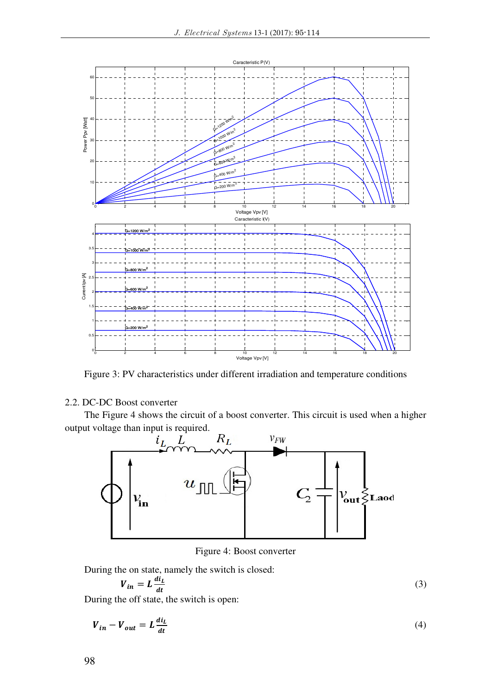

Figure 3: PV characteristics under different irradiation and temperature conditions

# 2.2. DC-DC Boost converter

The Figure 4 shows the circuit of a boost converter. This circuit is used when a higher output voltage than input is required.



Figure 4: Boost converter

During the on state, namely the switch is closed:

$$
V_{in} = L \frac{di_L}{dt} \tag{3}
$$

During the off state, the switch is open:

$$
V_{in} - V_{out} = L \frac{di_L}{dt}
$$
 (4)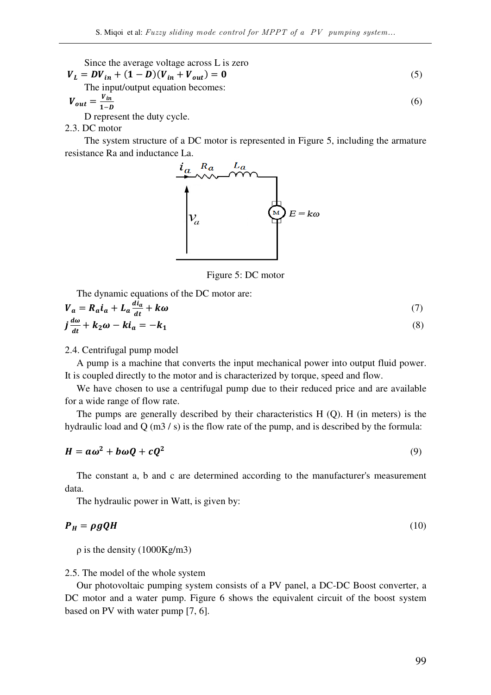Since the average voltage across L is zero

$$
V_L = DV_{in} + (1 - D)(V_{in} + V_{out}) = 0
$$
\n(5)

The input/output equation becomes:

$$
V_{out} = \frac{V_{in}}{1 - D} \tag{6}
$$

D represent the duty cycle.

2.3. DC motor

The system structure of a DC motor is represented in Figure 5, including the armature resistance Ra and inductance La.



Figure 5: DC motor

The dynamic equations of the DC motor are:

$$
V_a = R_a i_a + L_a \frac{di_a}{dt} + k\omega
$$
  
\n
$$
j\frac{d\omega}{dt} + k_2 \omega - k i_a = -k_1
$$
\n(7)

#### 2.4. Centrifugal pump model

A pump is a machine that converts the input mechanical power into output fluid power. It is coupled directly to the motor and is characterized by torque, speed and flow.

We have chosen to use a centrifugal pump due to their reduced price and are available for a wide range of flow rate.

The pumps are generally described by their characteristics H (Q). H (in meters) is the hydraulic load and Q (m3 / s) is the flow rate of the pump, and is described by the formula:

$$
H = a\omega^2 + b\omega Q + cQ^2 \tag{9}
$$

The constant a, b and c are determined according to the manufacturer's measurement data.

The hydraulic power in Watt, is given by:

$$
P_H = \rho g Q H
$$

 $P_H = \rho g Q H$  (10)

 $ρ$  is the density (1000Kg/m3)

### 2.5. The model of the whole system

Our photovoltaic pumping system consists of a PV panel, a DC-DC Boost converter, a DC motor and a water pump. Figure 6 shows the equivalent circuit of the boost system based on PV with water pump [7, 6].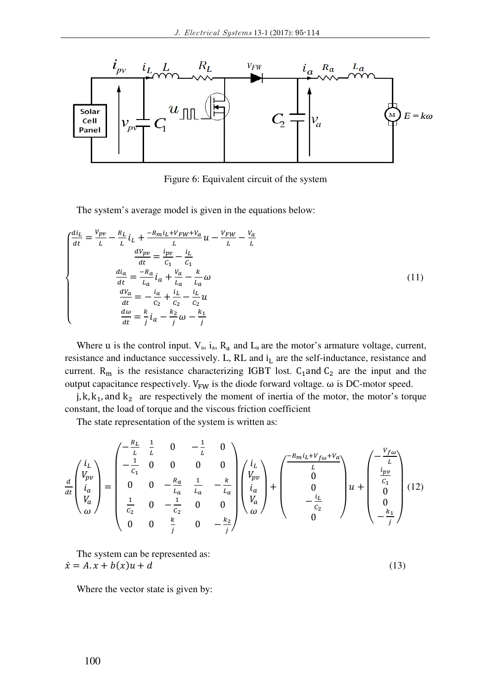

Figure 6: Equivalent circuit of the system

The system's average model is given in the equations below:

$$
\begin{cases}\n\frac{di_L}{dt} = \frac{V_{pv}}{L} - \frac{R_L}{L}i_L + \frac{-R_m i_L + V_{FW} + V_a}{L}u - \frac{V_{FW}}{L} - \frac{V_a}{L} \\
\frac{dV_{pv}}{dt} = \frac{i_{pv}}{C_1} - \frac{i_L}{C_1} \\
\frac{di_a}{dt} = \frac{-R_a}{L_a}i_a + \frac{V_a}{L_a} - \frac{k}{L_a}\omega \\
\frac{dV_a}{dt} = -\frac{i_a}{C_2} + \frac{i_L}{C_2} - \frac{i_L}{C_2}u \\
\frac{d\omega}{dt} = \frac{k}{j}i_a - \frac{k_2}{j}\omega - \frac{k_1}{j}\n\end{cases}
$$
\n(11)

Where u is the control input.  $V_a$ ,  $i_a$ ,  $R_a$  and  $L_a$  are the motor's armature voltage, current, resistance and inductance successively. L, RL and  $i<sub>L</sub>$  are the self-inductance, resistance and current.  $R_m$  is the resistance characterizing IGBT lost.  $C_1$  and  $C_2$  are the input and the output capacitance respectively.  $V_{FW}$  is the diode forward voltage.  $\omega$  is DC-motor speed.

j, k,  $k_1$ , and  $k_2$  are respectively the moment of inertia of the motor, the motor's torque constant, the load of torque and the viscous friction coefficient

The state representation of the system is written as:

$$
\frac{d}{dt} \begin{pmatrix} i_L \\ v_{pv} \\ i_a \\ v_a \end{pmatrix} = \begin{pmatrix} -\frac{R_L}{L} & \frac{1}{L} & 0 & -\frac{1}{L} & 0 \\ -\frac{1}{C_1} & 0 & 0 & 0 & 0 \\ 0 & 0 & -\frac{R_a}{L_a} & \frac{1}{L_a} & -\frac{k}{L_a} \\ \frac{1}{C_2} & 0 & -\frac{1}{C_2} & 0 & 0 \\ 0 & 0 & \frac{k}{j} & 0 & -\frac{k_2}{j} \end{pmatrix} \begin{pmatrix} i_L \\ v_{pv} \\ i_a \\ v_a \end{pmatrix} + \begin{pmatrix} -\frac{R_m i_L + V_{f\omega} + V_a}{L} \\ 0 \\ 0 \\ -\frac{i_L}{C_2} \\ 0 \end{pmatrix} u + \begin{pmatrix} -\frac{V_{f\omega}}{L} \\ \frac{i_{pv}}{C_1} \\ 0 \\ 0 \\ -\frac{k_1}{j} \end{pmatrix}
$$
(12)

The system can be represented as:  $\dot{x} = A \cdot x + b(x)u + d$  (13)

Where the vector state is given by: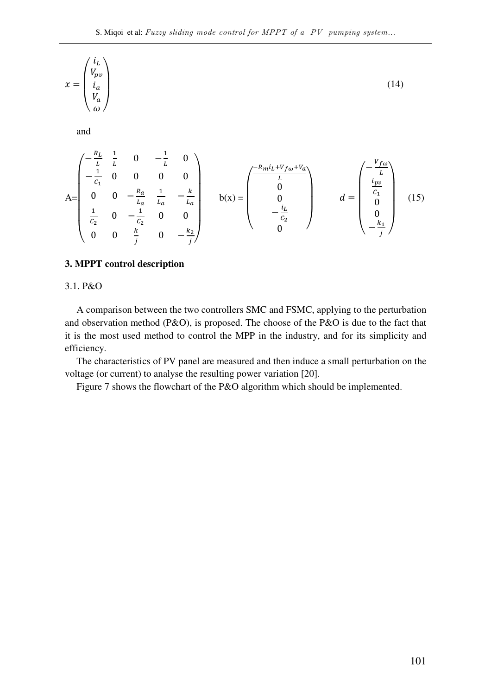$$
x = \begin{pmatrix} i_L \\ V_{pv} \\ i_a \\ V_a \end{pmatrix}
$$
\nand\n
$$
A = \begin{pmatrix} -\frac{R_L}{L} & \frac{1}{L} & 0 & -\frac{1}{L} & 0 \\ -\frac{1}{C_1} & 0 & 0 & 0 & 0 \\ 0 & 0 & -\frac{R_a}{L_a} & \frac{1}{L_a} & -\frac{k}{L_a} \\ \frac{1}{C_2} & 0 & -\frac{1}{C_2} & 0 & 0 \\ 0 & 0 & \frac{k}{L} & 0 & -\frac{k_2}{L} \end{pmatrix}
$$
\n
$$
b(x) = \begin{pmatrix} -\frac{R_m i_L + V_{fov} + V_a}{L} \\ 0 \\ 0 \\ 0 \\ 0 \end{pmatrix}
$$
\n
$$
d = \begin{pmatrix} -\frac{V_{fov}}{L} \\ \frac{i_{pv}}{C_1} \\ 0 \\ 0 \\ -\frac{k_1}{L} \end{pmatrix}
$$
\n
$$
(15)
$$

## **3. MPPT control description**

3.1. P&O

A comparison between the two controllers SMC and FSMC, applying to the perturbation and observation method (P&O), is proposed. The choose of the P&O is due to the fact that it is the most used method to control the MPP in the industry, and for its simplicity and efficiency.

The characteristics of PV panel are measured and then induce a small perturbation on the voltage (or current) to analyse the resulting power variation [20].

Figure 7 shows the flowchart of the P&O algorithm which should be implemented.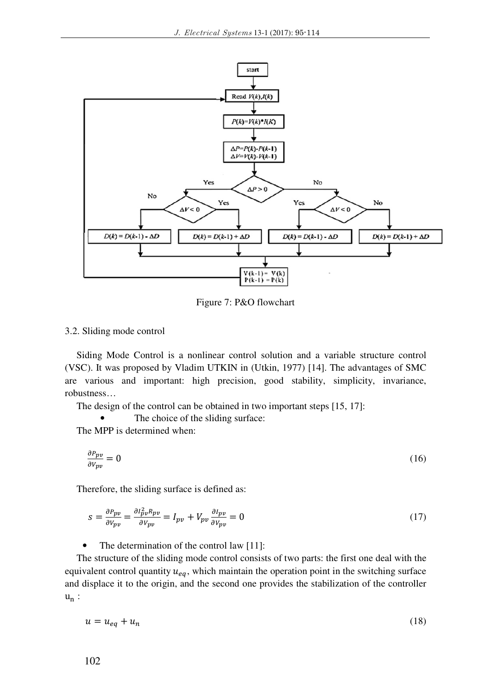

Figure 7: P&O flowchart

#### 3.2. Sliding mode control

Siding Mode Control is a nonlinear control solution and a variable structure control (VSC). It was proposed by Vladim UTKIN in (Utkin, 1977) [14]. The advantages of SMC are various and important: high precision, good stability, simplicity, invariance, robustness…

The design of the control can be obtained in two important steps [15, 17]:

The choice of the sliding surface:

The MPP is determined when:

$$
\frac{\partial P_{pv}}{\partial V_{pv}} = 0 \tag{16}
$$

Therefore, the sliding surface is defined as:

$$
s = \frac{\partial P_{pv}}{\partial V_{pv}} = \frac{\partial l_{pv}^2 R_{pv}}{\partial V_{pv}} = I_{pv} + V_{pv} \frac{\partial I_{pv}}{\partial V_{pv}} = 0
$$
\n(17)

The determination of the control law [11]:

The structure of the sliding mode control consists of two parts: the first one deal with the equivalent control quantity  $u_{eq}$ , which maintain the operation point in the switching surface and displace it to the origin, and the second one provides the stabilization of the controller  $u_n$ :

$$
u = u_{eq} + u_n \tag{18}
$$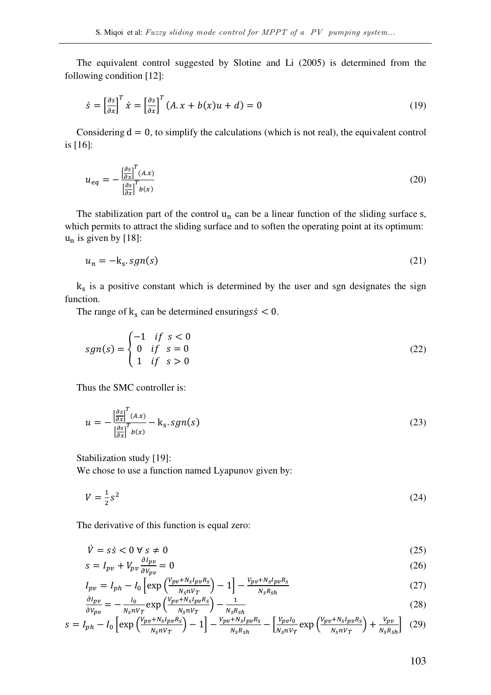The equivalent control suggested by Slotine and Li (2005) is determined from the following condition [12]:

$$
\dot{s} = \left[\frac{\partial s}{\partial x}\right]^T \dot{x} = \left[\frac{\partial s}{\partial x}\right]^T (A \cdot x + b(x)u + d) = 0
$$
\n(19)

Considering  $d = 0$ , to simplify the calculations (which is not real), the equivalent control is [16]:

$$
u_{eq} = -\frac{\left[\frac{\partial s}{\partial x}\right]^T (A.x)}{\left[\frac{\partial s}{\partial x}\right]^T b(x)}
$$
(20)

The stabilization part of the control  $u_n$  can be a linear function of the sliding surface s, which permits to attract the sliding surface and to soften the operating point at its optimum:  $u_n$  is given by [18]:

$$
u_n = -k_s \, \text{sgn}(s) \tag{21}
$$

k is a positive constant which is determined by the user and sgn designates the sign function.

The range of  $k_s$  can be determined ensurings  $\zeta \leq 0$ .

$$
sgn(s) = \begin{cases} -1 & \text{if } s < 0 \\ 0 & \text{if } s = 0 \\ 1 & \text{if } s > 0 \end{cases}
$$
 (22)

Thus the SMC controller is:

$$
u = -\frac{\left[\frac{\partial s}{\partial x}\right]^T (A.x)}{\left[\frac{\partial s}{\partial x}\right]^T b(x)} - k_s \cdot sgn(s)
$$
\n(23)

Stabilization study [19]:

We chose to use a function named Lyapunov given by:

$$
V = \frac{1}{2}s^2\tag{24}
$$

The derivative of this function is equal zero:

 $N_S nV_T$ 

$$
\dot{V} = s\dot{s} < 0 \,\forall \, s \neq 0 \tag{25}
$$

$$
s = I_{pv} + V_{pv} \frac{\partial l_{pv}}{\partial V_{pv}} = 0
$$
\n(26)

$$
I_{pv} = I_{ph} - I_0 \left[ \exp\left(\frac{V_{pv} + N_S I_{pv} R_S}{N_S n V_T}\right) - 1 \right] - \frac{V_{pv} + N_S I_{pv} R_S}{N_S R_{sh}} \tag{27}
$$

$$
\frac{\partial I_{pv}}{\partial V_{pv}} = -\frac{I_0}{N_S n V_T} \exp\left(\frac{V_{pv} + N_S I_{pv} R_S}{N_S n V_T}\right) - \frac{1}{N_S R_{Sh}} \tag{28}
$$
\n
$$
s = I_{ph} - I_0 \left[ \exp\left(\frac{V_{pv} + N_S I_{pv} R_S}{N_S n V_T}\right) - 1 \right] - \frac{V_{pv} + N_S I_{pv} R_S}{N_S R_{Sh}} - \left[ \frac{V_{pv} I_0}{N_S n V_T} \exp\left(\frac{V_{pv} + N_S I_{pv} R_S}{N_S n V_T}\right) + \frac{V_{pv}}{N_S R_{Sh}} \right] \tag{29}
$$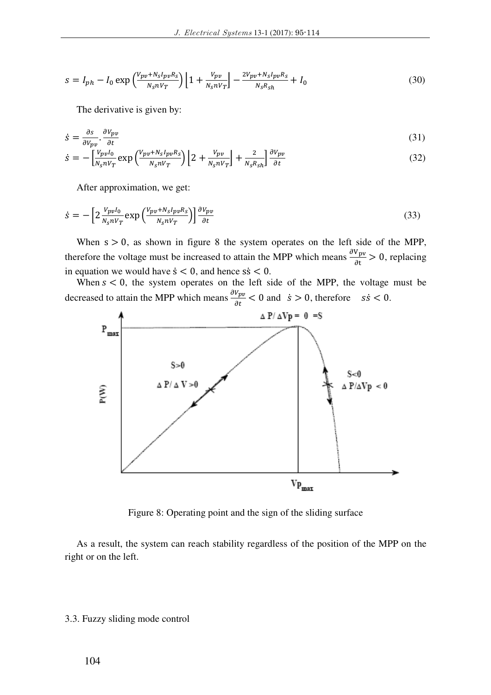$$
s = I_{ph} - I_0 \exp\left(\frac{V_{pv} + N_S I_{pv} R_S}{N_S n V_T}\right) \left[1 + \frac{V_{pv}}{N_S n V_T}\right] - \frac{2 V_{pv} + N_S I_{pv} R_S}{N_S R_{Sh}} + I_0
$$
\n(30)

The derivative is given by:

$$
\dot{s} = \frac{\partial s}{\partial v_{pv}} \cdot \frac{\partial v_{pv}}{\partial t} \tag{31}
$$

$$
\dot{s} = -\left[\frac{V_{pv}I_0}{N_S n V_T} \exp\left(\frac{V_{pv} + N_S I_{pv} R_S}{N_S n V_T}\right)\right] 2 + \frac{V_{pv}}{N_S n V_T} \right] + \frac{2}{N_S R_S h} \frac{\partial V_{pv}}{\partial t}
$$
(32)

After approximation, we get:

$$
\dot{s} = -\left[2\frac{v_{pv}I_0}{N_S nV_T} \exp\left(\frac{v_{pv} + N_S I_{pv} R_S}{N_S nV_T}\right)\right] \frac{\partial v_{pv}}{\partial t}
$$
\n(33)

When  $s > 0$ , as shown in figure 8 the system operates on the left side of the MPP, therefore the voltage must be increased to attain the MPP which means  $\frac{\partial V_{pv}}{\partial t} > 0$ , replacing in equation we would have  $\dot{s} < 0$ , and hence  $s\dot{s} < 0$ .

When  $s < 0$ , the system operates on the left side of the MPP, the voltage must be decreased to attain the MPP which means  $\frac{\partial V_{pv}}{\partial t} < 0$  and  $\dot{s} > 0$ , therefore  $s\dot{s} < 0$ .



Figure 8: Operating point and the sign of the sliding surface

As a result, the system can reach stability regardless of the position of the MPP on the right or on the left.

## 3.3. Fuzzy sliding mode control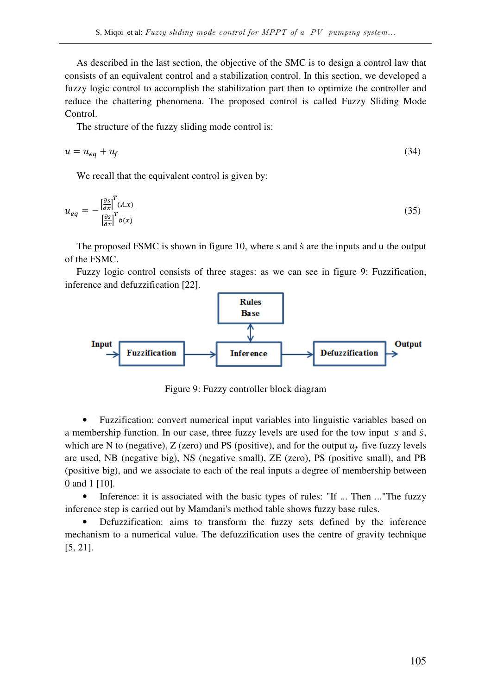As described in the last section, the objective of the SMC is to design a control law that consists of an equivalent control and a stabilization control. In this section, we developed a fuzzy logic control to accomplish the stabilization part then to optimize the controller and reduce the chattering phenomena. The proposed control is called Fuzzy Sliding Mode Control.

The structure of the fuzzy sliding mode control is:

$$
u = u_{eq} + u_f \tag{34}
$$

We recall that the equivalent control is given by:

$$
u_{eq} = -\frac{\left[\frac{\partial s}{\partial x}\right]^T (A.x)}{\left[\frac{\partial s}{\partial x}\right]^T b(x)}
$$
(35)

The proposed FSMC is shown in figure 10, where s and s are the inputs and u the output of the FSMC.

Fuzzy logic control consists of three stages: as we can see in figure 9: Fuzzification, inference and defuzzification [22].



Figure 9: Fuzzy controller block diagram

• Fuzzification: convert numerical input variables into linguistic variables based on a membership function. In our case, three fuzzy levels are used for the tow input  $s$  and  $\dot{s}$ , which are N to (negative), Z (zero) and PS (positive), and for the output  $u_f$  five fuzzy levels are used, NB (negative big), NS (negative small), ZE (zero), PS (positive small), and PB (positive big), and we associate to each of the real inputs a degree of membership between 0 and 1 [10].

• Inference: it is associated with the basic types of rules: "If ... Then ..."The fuzzy inference step is carried out by Mamdani's method table shows fuzzy base rules.

• Defuzzification: aims to transform the fuzzy sets defined by the inference mechanism to a numerical value. The defuzzification uses the centre of gravity technique [5, 21].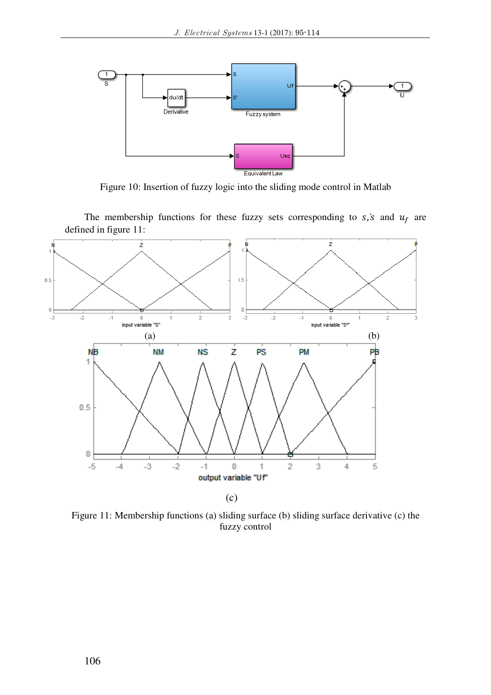

Figure 10: Insertion of fuzzy logic into the sliding mode control in Matlab

The membership functions for these fuzzy sets corresponding to  $s$ ,  $\dot{s}$  and  $u_f$  are defined in figure 11:



Figure 11: Membership functions (a) sliding surface (b) sliding surface derivative (c) the fuzzy control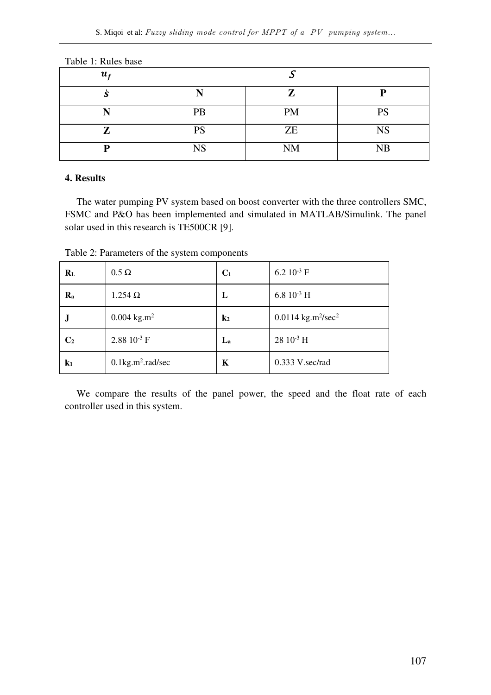| $u_{f}$    |           |           |           |  |
|------------|-----------|-----------|-----------|--|
| J          |           | 7         |           |  |
| <b>T.T</b> | PB        | PM        | PS        |  |
|            | PS        | ZE        | <b>NS</b> |  |
| D          | <b>NS</b> | <b>NM</b> | NB        |  |

Table 1: Rules base

# **4. Results**

The water pumping PV system based on boost converter with the three controllers SMC, FSMC and P&O has been implemented and simulated in MATLAB/Simulink. The panel solar used in this research is TE500CR [9].

Table 2: Parameters of the system components

| $R_{L}$                   | $0.5 \Omega$                     | C <sub>1</sub>   | 6.2 $10^{-3}$ F                            |
|---------------------------|----------------------------------|------------------|--------------------------------------------|
| $\mathbf{R}_{\mathbf{a}}$ | $1.254 \Omega$                   | L                | 6.8 $10^{-3}$ H                            |
| J                         | $0.004$ kg.m <sup>2</sup>        | $\mathbf{k}_2$   | 0.0114 kg.m <sup>2</sup> /sec <sup>2</sup> |
| C <sub>2</sub>            | 2.88 $10^{-3}$ F                 | $\mathbf{L}_{a}$ | $28\ 10^{-3}$ H                            |
| $\mathbf{k}_1$            | $0.1$ kg.m <sup>2</sup> .rad/sec | K                | 0.333 V.sec/rad                            |

We compare the results of the panel power, the speed and the float rate of each controller used in this system.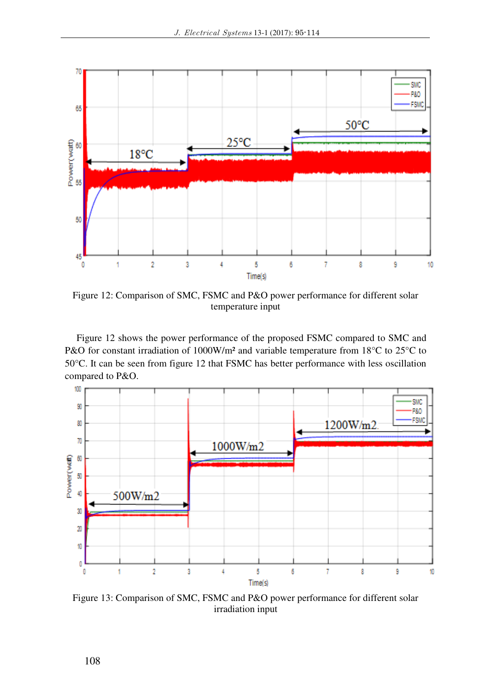

Figure 12: Comparison of SMC, FSMC and P&O power performance for different solar temperature input

Figure 12 shows the power performance of the proposed FSMC compared to SMC and P&O for constant irradiation of 1000W/m<sup>2</sup> and variable temperature from 18°C to 25°C to 50°C. It can be seen from figure 12 that FSMC has better performance with less oscillation compared to P&O.



Figure 13: Comparison of SMC, FSMC and P&O power performance for different solar irradiation input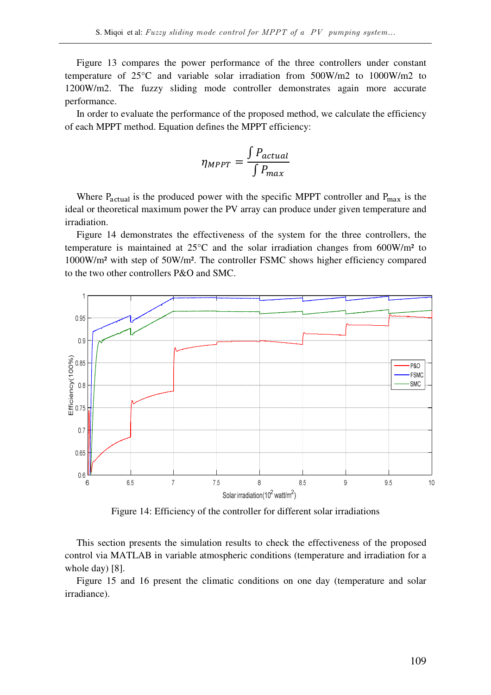Figure 13 compares the power performance of the three controllers under constant temperature of 25°C and variable solar irradiation from 500W/m2 to 1000W/m2 to 1200W/m2. The fuzzy sliding mode controller demonstrates again more accurate performance.

In order to evaluate the performance of the proposed method, we calculate the efficiency of each MPPT method. Equation defines the MPPT efficiency:

$$
\eta_{MPPT} = \frac{\int P_{actual}}{\int P_{max}}
$$

Where  $P_{actual}$  is the produced power with the specific MPPT controller and  $P_{max}$  is the ideal or theoretical maximum power the PV array can produce under given temperature and irradiation.

Figure 14 demonstrates the effectiveness of the system for the three controllers, the temperature is maintained at 25°C and the solar irradiation changes from 600W/m² to 1000W/m² with step of 50W/m². The controller FSMC shows higher efficiency compared to the two other controllers P&O and SMC.



Figure 14: Efficiency of the controller for different solar irradiations

This section presents the simulation results to check the effectiveness of the proposed control via MATLAB in variable atmospheric conditions (temperature and irradiation for a whole day) [8].

Figure 15 and 16 present the climatic conditions on one day (temperature and solar irradiance).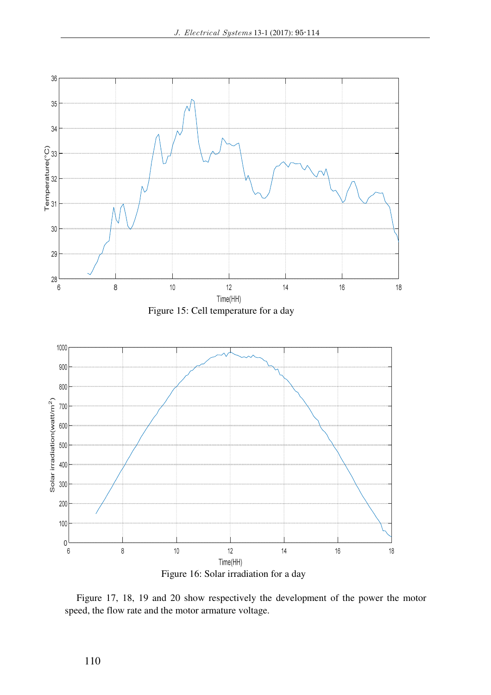

Figure 17, 18, 19 and 20 show respectively the development of the power the motor speed, the flow rate and the motor armature voltage.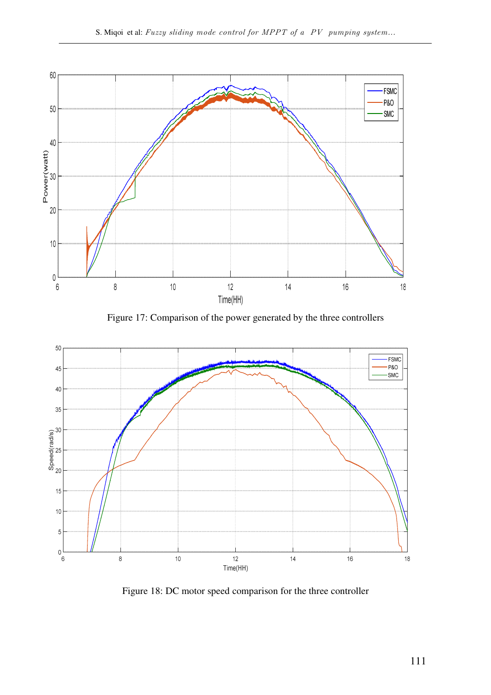

Figure 17: Comparison of the power generated by the three controllers



Figure 18: DC motor speed comparison for the three controller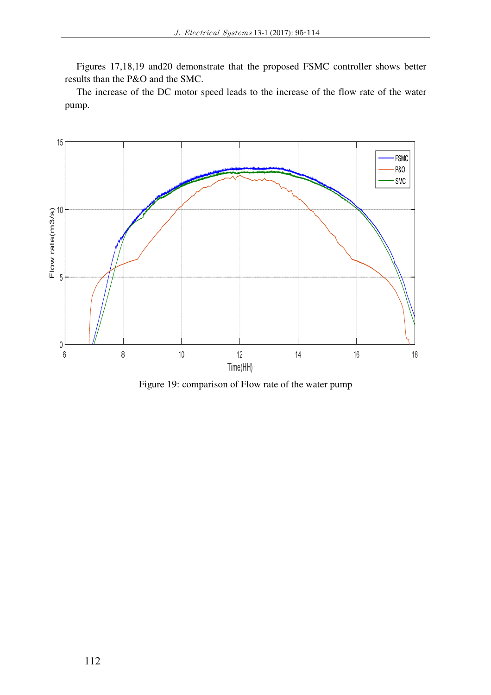Figures 17,18,19 and20 demonstrate that the proposed FSMC controller shows better results than the P&O and the SMC.

The increase of the DC motor speed leads to the increase of the flow rate of the water pump.



Figure 19: comparison of Flow rate of the water pump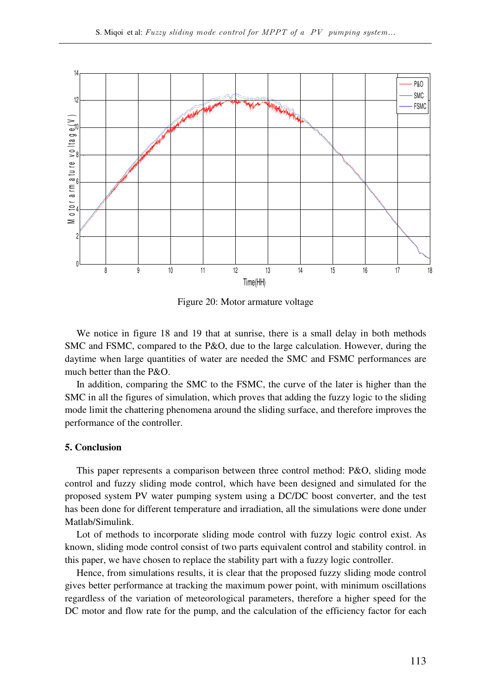

Figure 20: Motor armature voltage

We notice in figure 18 and 19 that at sunrise, there is a small delay in both methods SMC and FSMC, compared to the P&O, due to the large calculation. However, during the daytime when large quantities of water are needed the SMC and FSMC performances are much better than the P&O.

In addition, comparing the SMC to the FSMC, the curve of the later is higher than the SMC in all the figures of simulation, which proves that adding the fuzzy logic to the sliding mode limit the chattering phenomena around the sliding surface, and therefore improves the performance of the controller.

## **5. Conclusion**

This paper represents a comparison between three control method: P&O, sliding mode control and fuzzy sliding mode control, which have been designed and simulated for the proposed system PV water pumping system using a DC/DC boost converter, and the test has been done for different temperature and irradiation, all the simulations were done under Matlab/Simulink.

Lot of methods to incorporate sliding mode control with fuzzy logic control exist. As known, sliding mode control consist of two parts equivalent control and stability control. in this paper, we have chosen to replace the stability part with a fuzzy logic controller.

Hence, from simulations results, it is clear that the proposed fuzzy sliding mode control gives better performance at tracking the maximum power point, with minimum oscillations regardless of the variation of meteorological parameters, therefore a higher speed for the DC motor and flow rate for the pump, and the calculation of the efficiency factor for each